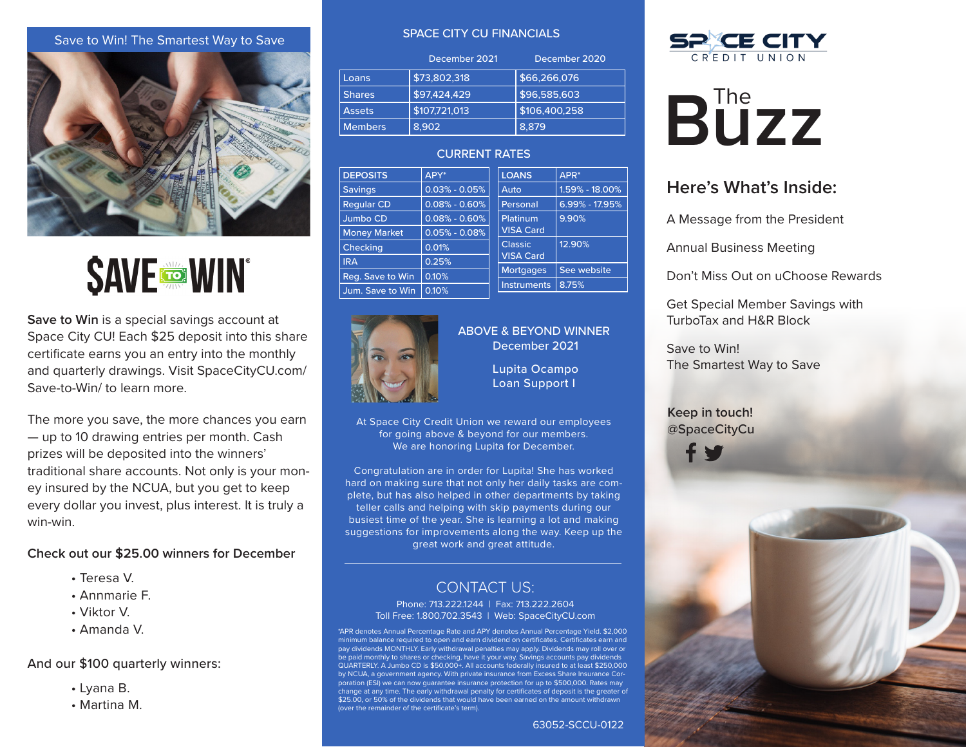# Save to Win! The Smartest Way to Save



# **SAVE TO WIN**

**Save to Win** is a special savings account at Space City CU! Each \$25 deposit into this share certificate earns you an entry into the monthly and quarterly drawings. Visit SpaceCityCU.com/ Save-to-Win/ to learn more.

The more you save, the more chances you earn — up to 10 drawing entries per month. Cash prizes will be deposited into the winners' traditional share accounts. Not only is your money insured by the NCUA, but you get to keep every dollar you invest, plus interest. It is truly a win-win.

#### **Check out our \$25.00 winners for December**

- Teresa V.
- Annmarie F.
- Viktor V.
- Amanda V.

# And our \$100 quarterly winners:

- Lyana B.
- Martina M.

#### SPACE CITY CU FINANCIALS

|                | December 2020<br>December 2021 |               |  |
|----------------|--------------------------------|---------------|--|
| Loans          | \$73,802,318                   | \$66,266,076  |  |
| <b>Shares</b>  | \$97,424,429                   | \$96,585,603  |  |
| <b>Assets</b>  | \$107,721,013                  | \$106,400,258 |  |
| <b>Members</b> | 8.902                          | 8.879         |  |

# CURRENT RATES

| <b>DEPOSITS</b>     | APY*              | <b>LOANS</b>       | APR*               |
|---------------------|-------------------|--------------------|--------------------|
| <b>Savings</b>      | $0.03\% - 0.05\%$ | Auto               | $1.59\% - 18.00\%$ |
| <b>Reqular CD</b>   | $0.08\% - 0.60\%$ | Personal           | $6.99\% - 17.95\%$ |
| Jumbo CD            | $0.08\% - 0.60\%$ | Platinum           | 9.90%              |
| <b>Money Market</b> | $0.05\% - 0.08\%$ | <b>VISA Card</b>   |                    |
| Checking            | 0.01%             | <b>Classic</b>     | 12.90%             |
| <b>IRA</b>          | 0.25%             | <b>VISA Card</b>   |                    |
| Reg. Save to Win    | 0.10%             | <b>Mortgages</b>   | See website        |
| Jum. Save to Win    | 0.10%             | <b>Instruments</b> | 8.75%              |



# ABOVE & BEYOND WINNER December 2021

Lupita Ocampo Loan Support I

At Space City Credit Union we reward our employees for going above & beyond for our members. We are honoring Lupita for December.

Congratulation are in order for Lupita! She has worked hard on making sure that not only her daily tasks are complete, but has also helped in other departments by taking teller calls and helping with skip payments during our busiest time of the year. She is learning a lot and making suggestions for improvements along the way. Keep up the great work and great attitude.

# CONTACT US:

Phone: 713.222.1244 | Fax: 713.222.2604 Toll Free: 1.800.702.3543 | Web: SpaceCityCU.com

\*APR denotes Annual Percentage Rate and APY denotes Annual Percentage Yield. \$2,000 mum balance required to open and earn dividend on certificates. Certificates earn and pay dividends MONTHLY. Early withdrawal penalties may apply. Dividends may roll over or be paid monthly to shares or checking, have it your way. Savings accounts pay dividends QUARTERLY. A Jumbo CD is \$50,000+. All accounts federally insured to at least \$250,000 by NCUA, a government agency. With private insurance from Excess Share Insurance Corporation (ESI) we can now guarantee insurance protection for up to \$500,000. Rates may change at any time. The early withdrawal penalty for certificates of deposit is the greater of \$25.00, or 50% of the dividends that would have been earned on the amount withdrawn (over the remainder of the certificate's term).





# **Buzz**

# **Here's What's Inside:**

A Message from the President

Annual Business Meeting

Don't Miss Out on uChoose Rewards

Get Special Member Savings with TurboTax and H&R Block

Save to Win! The Smartest Way to Save

# @SpaceCityCu **Keep in touch!**